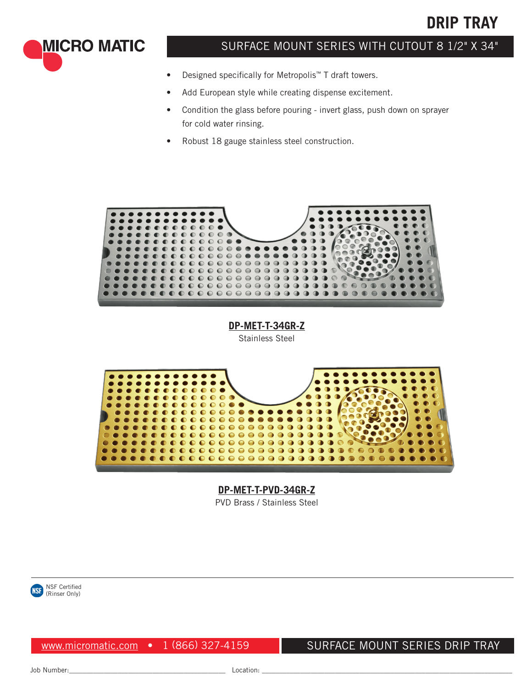# **DRIP TRAY**

**MICRO MATIC** 

## SURFACE MOUNT SERIES WITH CUTOUT 8 1/2" X 34"

- Designed specifically for Metropolis™ T draft towers.
- Add European style while creating dispense excitement.
- Condition the glass before pouring invert glass, push down on sprayer for cold water rinsing.
- Robust 18 gauge stainless steel construction.



**DP-MET-T-34GR-Z** Stainless Steel



**DP-MET-T-PVD-34GR-Z** PVD Brass / Stainless Steel



www.micromatic.com • 1 (866) 327-4159

SURFACE MOUNT SERIES DRIP TRAY